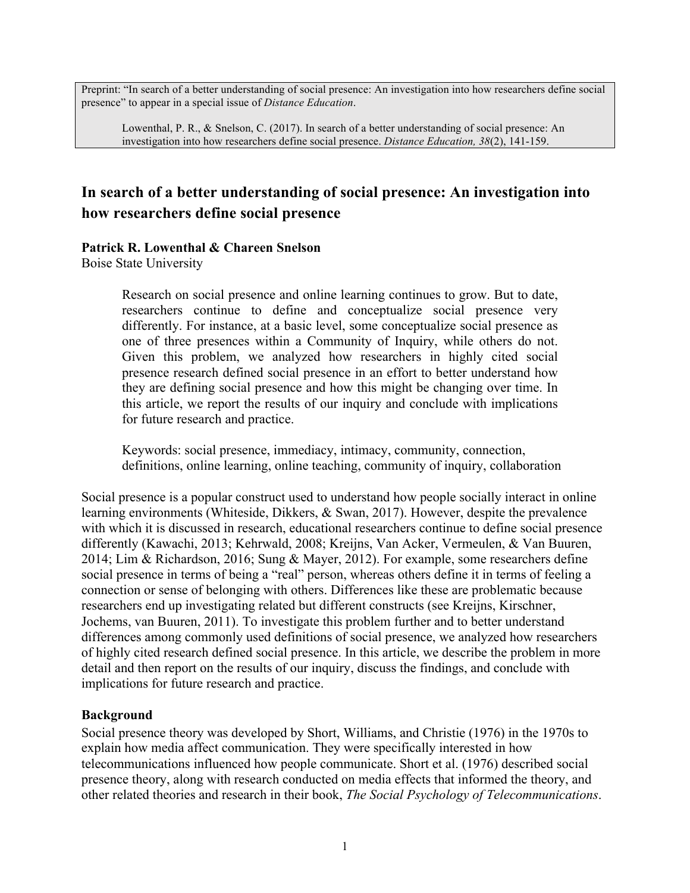Preprint: "In search of a better understanding of social presence: An investigation into how researchers define social presence" to appear in a special issue of *Distance Education*.

Lowenthal, P. R., & Snelson, C. (2017). In search of a better understanding of social presence: An investigation into how researchers define social presence. *Distance Education, 38*(2), 141-159.

# **In search of a better understanding of social presence: An investigation into how researchers define social presence**

#### **Patrick R. Lowenthal & Chareen Snelson**

Boise State University

Research on social presence and online learning continues to grow. But to date, researchers continue to define and conceptualize social presence very differently. For instance, at a basic level, some conceptualize social presence as one of three presences within a Community of Inquiry, while others do not. Given this problem, we analyzed how researchers in highly cited social presence research defined social presence in an effort to better understand how they are defining social presence and how this might be changing over time. In this article, we report the results of our inquiry and conclude with implications for future research and practice.

Keywords: social presence, immediacy, intimacy, community, connection, definitions, online learning, online teaching, community of inquiry, collaboration

Social presence is a popular construct used to understand how people socially interact in online learning environments (Whiteside, Dikkers, & Swan, 2017). However, despite the prevalence with which it is discussed in research, educational researchers continue to define social presence differently (Kawachi, 2013; Kehrwald, 2008; Kreijns, Van Acker, Vermeulen, & Van Buuren, 2014; Lim & Richardson, 2016; Sung & Mayer, 2012). For example, some researchers define social presence in terms of being a "real" person, whereas others define it in terms of feeling a connection or sense of belonging with others. Differences like these are problematic because researchers end up investigating related but different constructs (see Kreijns, Kirschner, Jochems, van Buuren, 2011). To investigate this problem further and to better understand differences among commonly used definitions of social presence, we analyzed how researchers of highly cited research defined social presence. In this article, we describe the problem in more detail and then report on the results of our inquiry, discuss the findings, and conclude with implications for future research and practice.

#### **Background**

Social presence theory was developed by Short, Williams, and Christie (1976) in the 1970s to explain how media affect communication. They were specifically interested in how telecommunications influenced how people communicate. Short et al. (1976) described social presence theory, along with research conducted on media effects that informed the theory, and other related theories and research in their book, *The Social Psychology of Telecommunications*.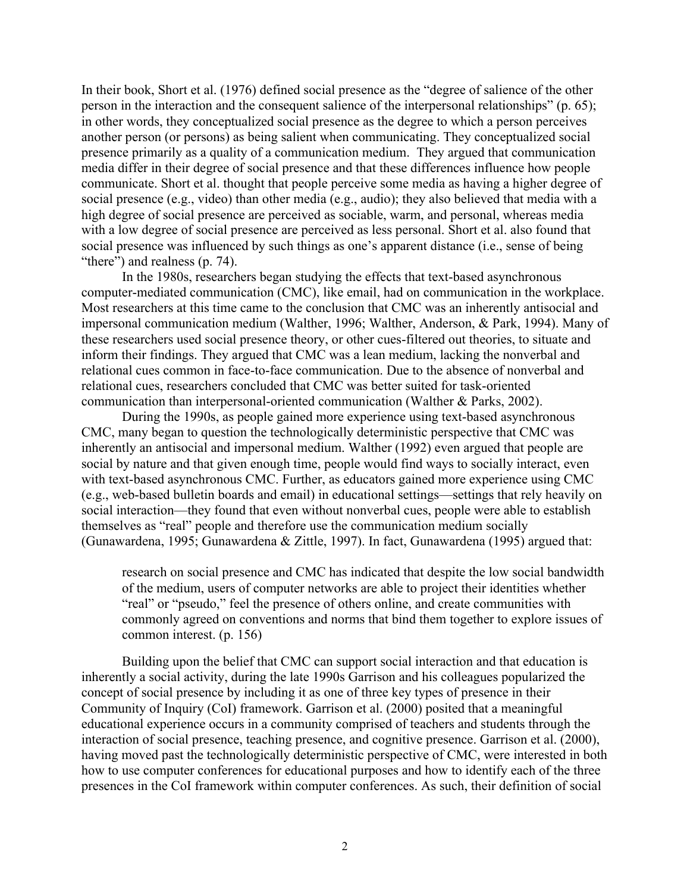In their book, Short et al. (1976) defined social presence as the "degree of salience of the other person in the interaction and the consequent salience of the interpersonal relationships" (p. 65); in other words, they conceptualized social presence as the degree to which a person perceives another person (or persons) as being salient when communicating. They conceptualized social presence primarily as a quality of a communication medium. They argued that communication media differ in their degree of social presence and that these differences influence how people communicate. Short et al. thought that people perceive some media as having a higher degree of social presence (e.g., video) than other media (e.g., audio); they also believed that media with a high degree of social presence are perceived as sociable, warm, and personal, whereas media with a low degree of social presence are perceived as less personal. Short et al. also found that social presence was influenced by such things as one's apparent distance (i.e., sense of being "there") and realness (p. 74).

In the 1980s, researchers began studying the effects that text-based asynchronous computer-mediated communication (CMC), like email, had on communication in the workplace. Most researchers at this time came to the conclusion that CMC was an inherently antisocial and impersonal communication medium (Walther, 1996; Walther, Anderson, & Park, 1994). Many of these researchers used social presence theory, or other cues-filtered out theories, to situate and inform their findings. They argued that CMC was a lean medium, lacking the nonverbal and relational cues common in face-to-face communication. Due to the absence of nonverbal and relational cues, researchers concluded that CMC was better suited for task-oriented communication than interpersonal-oriented communication (Walther & Parks, 2002).

During the 1990s, as people gained more experience using text-based asynchronous CMC, many began to question the technologically deterministic perspective that CMC was inherently an antisocial and impersonal medium. Walther (1992) even argued that people are social by nature and that given enough time, people would find ways to socially interact, even with text-based asynchronous CMC. Further, as educators gained more experience using CMC (e.g., web-based bulletin boards and email) in educational settings—settings that rely heavily on social interaction—they found that even without nonverbal cues, people were able to establish themselves as "real" people and therefore use the communication medium socially (Gunawardena, 1995; Gunawardena & Zittle, 1997). In fact, Gunawardena (1995) argued that:

research on social presence and CMC has indicated that despite the low social bandwidth of the medium, users of computer networks are able to project their identities whether "real" or "pseudo," feel the presence of others online, and create communities with commonly agreed on conventions and norms that bind them together to explore issues of common interest. (p. 156)

Building upon the belief that CMC can support social interaction and that education is inherently a social activity, during the late 1990s Garrison and his colleagues popularized the concept of social presence by including it as one of three key types of presence in their Community of Inquiry (CoI) framework. Garrison et al. (2000) posited that a meaningful educational experience occurs in a community comprised of teachers and students through the interaction of social presence, teaching presence, and cognitive presence. Garrison et al. (2000), having moved past the technologically deterministic perspective of CMC, were interested in both how to use computer conferences for educational purposes and how to identify each of the three presences in the CoI framework within computer conferences. As such, their definition of social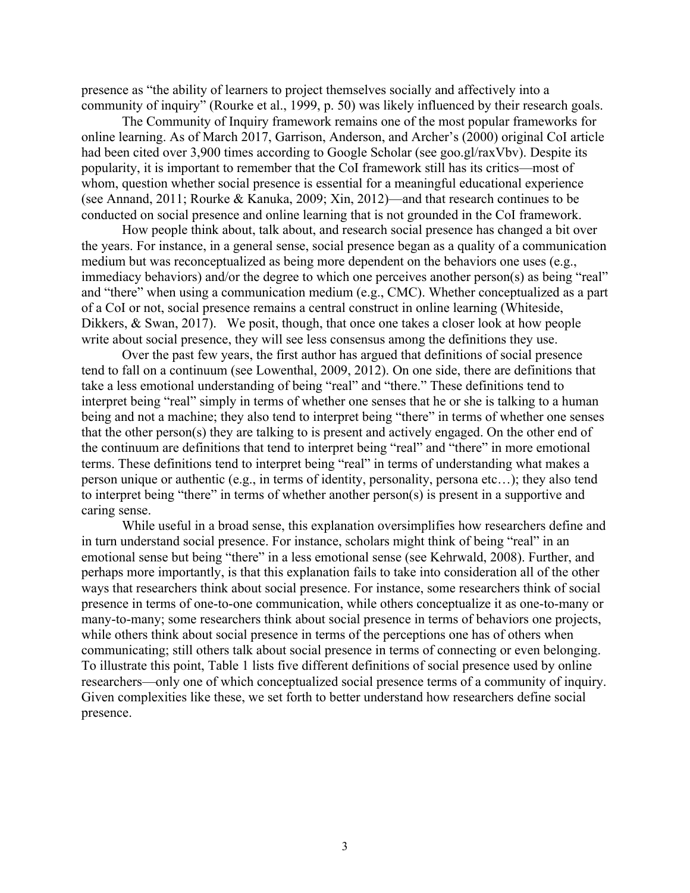presence as "the ability of learners to project themselves socially and affectively into a community of inquiry" (Rourke et al., 1999, p. 50) was likely influenced by their research goals.

The Community of Inquiry framework remains one of the most popular frameworks for online learning. As of March 2017, Garrison, Anderson, and Archer's (2000) original CoI article had been cited over 3,900 times according to Google Scholar (see goo.gl/raxVbv). Despite its popularity, it is important to remember that the CoI framework still has its critics—most of whom, question whether social presence is essential for a meaningful educational experience (see Annand, 2011; Rourke & Kanuka, 2009; Xin, 2012)—and that research continues to be conducted on social presence and online learning that is not grounded in the CoI framework.

How people think about, talk about, and research social presence has changed a bit over the years. For instance, in a general sense, social presence began as a quality of a communication medium but was reconceptualized as being more dependent on the behaviors one uses (e.g., immediacy behaviors) and/or the degree to which one perceives another person(s) as being "real" and "there" when using a communication medium (e.g., CMC). Whether conceptualized as a part of a CoI or not, social presence remains a central construct in online learning (Whiteside, Dikkers, & Swan, 2017). We posit, though, that once one takes a closer look at how people write about social presence, they will see less consensus among the definitions they use.

Over the past few years, the first author has argued that definitions of social presence tend to fall on a continuum (see Lowenthal, 2009, 2012). On one side, there are definitions that take a less emotional understanding of being "real" and "there." These definitions tend to interpret being "real" simply in terms of whether one senses that he or she is talking to a human being and not a machine; they also tend to interpret being "there" in terms of whether one senses that the other person(s) they are talking to is present and actively engaged. On the other end of the continuum are definitions that tend to interpret being "real" and "there" in more emotional terms. These definitions tend to interpret being "real" in terms of understanding what makes a person unique or authentic (e.g., in terms of identity, personality, persona etc…); they also tend to interpret being "there" in terms of whether another person(s) is present in a supportive and caring sense.

While useful in a broad sense, this explanation oversimplifies how researchers define and in turn understand social presence. For instance, scholars might think of being "real" in an emotional sense but being "there" in a less emotional sense (see Kehrwald, 2008). Further, and perhaps more importantly, is that this explanation fails to take into consideration all of the other ways that researchers think about social presence. For instance, some researchers think of social presence in terms of one-to-one communication, while others conceptualize it as one-to-many or many-to-many; some researchers think about social presence in terms of behaviors one projects, while others think about social presence in terms of the perceptions one has of others when communicating; still others talk about social presence in terms of connecting or even belonging. To illustrate this point, Table 1 lists five different definitions of social presence used by online researchers—only one of which conceptualized social presence terms of a community of inquiry. Given complexities like these, we set forth to better understand how researchers define social presence.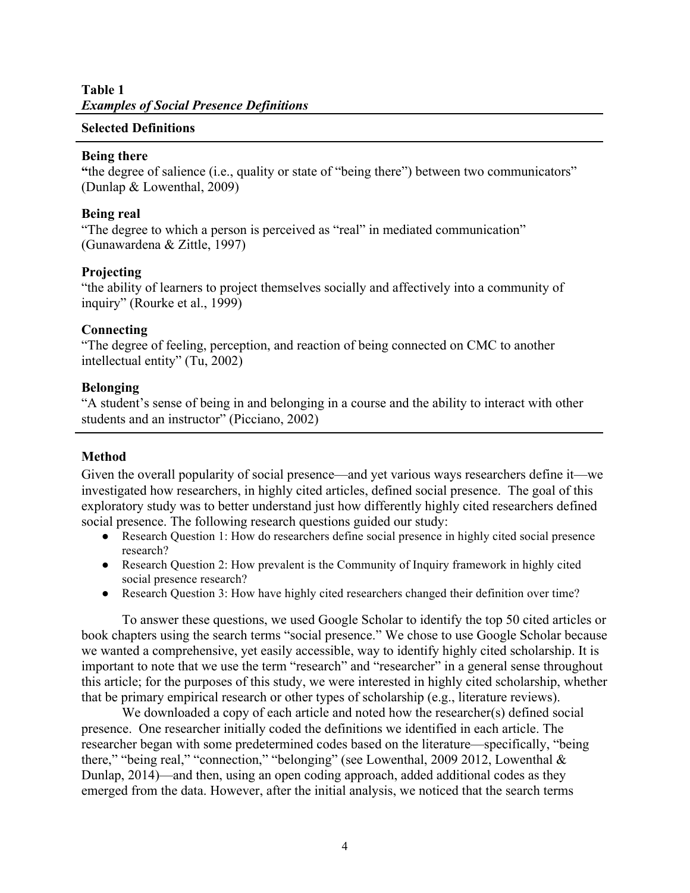**Table 1** *Examples of Social Presence Definitions*

#### **Selected Definitions**

#### **Being there**

**"**the degree of salience (i.e., quality or state of "being there") between two communicators" (Dunlap & Lowenthal, 2009)

### **Being real**

"The degree to which a person is perceived as "real" in mediated communication" (Gunawardena & Zittle, 1997)

### **Projecting**

"the ability of learners to project themselves socially and affectively into a community of inquiry" (Rourke et al., 1999)

### **Connecting**

"The degree of feeling, perception, and reaction of being connected on CMC to another intellectual entity" (Tu, 2002)

### **Belonging**

"A student's sense of being in and belonging in a course and the ability to interact with other students and an instructor" (Picciano, 2002)

# **Method**

Given the overall popularity of social presence—and yet various ways researchers define it—we investigated how researchers, in highly cited articles, defined social presence. The goal of this exploratory study was to better understand just how differently highly cited researchers defined social presence. The following research questions guided our study:

- Research Question 1: How do researchers define social presence in highly cited social presence research?
- Research Question 2: How prevalent is the Community of Inquiry framework in highly cited social presence research?
- Research Question 3: How have highly cited researchers changed their definition over time?

To answer these questions, we used Google Scholar to identify the top 50 cited articles or book chapters using the search terms "social presence." We chose to use Google Scholar because we wanted a comprehensive, yet easily accessible, way to identify highly cited scholarship. It is important to note that we use the term "research" and "researcher" in a general sense throughout this article; for the purposes of this study, we were interested in highly cited scholarship, whether that be primary empirical research or other types of scholarship (e.g., literature reviews).

We downloaded a copy of each article and noted how the researcher(s) defined social presence. One researcher initially coded the definitions we identified in each article. The researcher began with some predetermined codes based on the literature—specifically, "being there," "being real," "connection," "belonging" (see Lowenthal, 2009 2012, Lowenthal & Dunlap, 2014)—and then, using an open coding approach, added additional codes as they emerged from the data. However, after the initial analysis, we noticed that the search terms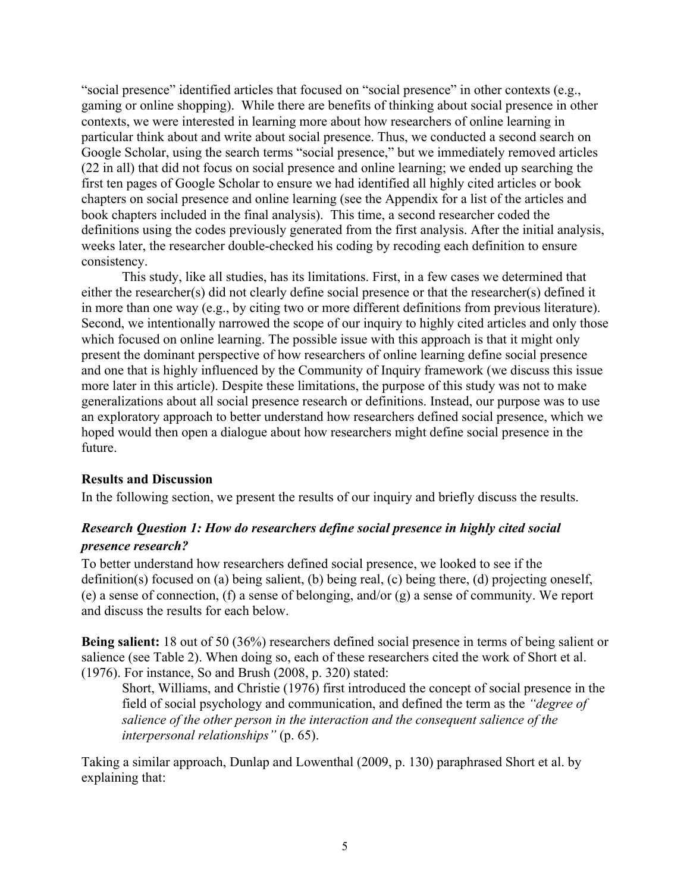"social presence" identified articles that focused on "social presence" in other contexts (e.g., gaming or online shopping). While there are benefits of thinking about social presence in other contexts, we were interested in learning more about how researchers of online learning in particular think about and write about social presence. Thus, we conducted a second search on Google Scholar, using the search terms "social presence," but we immediately removed articles (22 in all) that did not focus on social presence and online learning; we ended up searching the first ten pages of Google Scholar to ensure we had identified all highly cited articles or book chapters on social presence and online learning (see the Appendix for a list of the articles and book chapters included in the final analysis). This time, a second researcher coded the definitions using the codes previously generated from the first analysis. After the initial analysis, weeks later, the researcher double-checked his coding by recoding each definition to ensure consistency.

This study, like all studies, has its limitations. First, in a few cases we determined that either the researcher(s) did not clearly define social presence or that the researcher(s) defined it in more than one way (e.g., by citing two or more different definitions from previous literature). Second, we intentionally narrowed the scope of our inquiry to highly cited articles and only those which focused on online learning. The possible issue with this approach is that it might only present the dominant perspective of how researchers of online learning define social presence and one that is highly influenced by the Community of Inquiry framework (we discuss this issue more later in this article). Despite these limitations, the purpose of this study was not to make generalizations about all social presence research or definitions. Instead, our purpose was to use an exploratory approach to better understand how researchers defined social presence, which we hoped would then open a dialogue about how researchers might define social presence in the future.

#### **Results and Discussion**

In the following section, we present the results of our inquiry and briefly discuss the results.

# *Research Question 1: How do researchers define social presence in highly cited social presence research?*

To better understand how researchers defined social presence, we looked to see if the definition(s) focused on (a) being salient, (b) being real, (c) being there, (d) projecting oneself, (e) a sense of connection, (f) a sense of belonging, and/or (g) a sense of community. We report and discuss the results for each below.

**Being salient:** 18 out of 50 (36%) researchers defined social presence in terms of being salient or salience (see Table 2). When doing so, each of these researchers cited the work of Short et al. (1976). For instance, So and Brush (2008, p. 320) stated:

Short, Williams, and Christie (1976) first introduced the concept of social presence in the field of social psychology and communication, and defined the term as the *"degree of salience of the other person in the interaction and the consequent salience of the interpersonal relationships"* (p. 65).

Taking a similar approach, Dunlap and Lowenthal (2009, p. 130) paraphrased Short et al. by explaining that: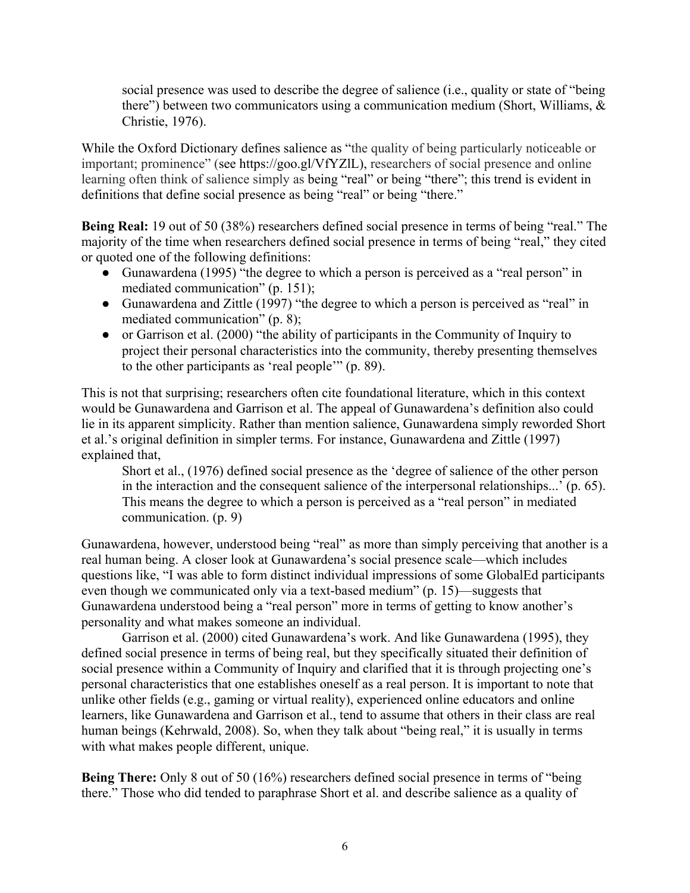social presence was used to describe the degree of salience (i.e., quality or state of "being there") between two communicators using a communication medium (Short, Williams, & Christie, 1976).

While the Oxford Dictionary defines salience as "the quality of being particularly noticeable or important; prominence" (see https://goo.gl/VfYZlL), researchers of social presence and online learning often think of salience simply as being "real" or being "there"; this trend is evident in definitions that define social presence as being "real" or being "there."

**Being Real:** 19 out of 50 (38%) researchers defined social presence in terms of being "real." The majority of the time when researchers defined social presence in terms of being "real," they cited or quoted one of the following definitions:

- Gunawardena (1995) "the degree to which a person is perceived as a "real person" in mediated communication" (p. 151);
- Gunawardena and Zittle (1997) "the degree to which a person is perceived as "real" in mediated communication" (p. 8);
- or Garrison et al. (2000) "the ability of participants in the Community of Inquiry to project their personal characteristics into the community, thereby presenting themselves to the other participants as 'real people'" (p. 89).

This is not that surprising; researchers often cite foundational literature, which in this context would be Gunawardena and Garrison et al. The appeal of Gunawardena's definition also could lie in its apparent simplicity. Rather than mention salience, Gunawardena simply reworded Short et al.'s original definition in simpler terms. For instance, Gunawardena and Zittle (1997) explained that,

Short et al., (1976) defined social presence as the 'degree of salience of the other person in the interaction and the consequent salience of the interpersonal relationships...' (p. 65). This means the degree to which a person is perceived as a "real person" in mediated communication. (p. 9)

Gunawardena, however, understood being "real" as more than simply perceiving that another is a real human being. A closer look at Gunawardena's social presence scale—which includes questions like, "I was able to form distinct individual impressions of some GlobalEd participants even though we communicated only via a text-based medium" (p. 15)—suggests that Gunawardena understood being a "real person" more in terms of getting to know another's personality and what makes someone an individual.

Garrison et al. (2000) cited Gunawardena's work. And like Gunawardena (1995), they defined social presence in terms of being real, but they specifically situated their definition of social presence within a Community of Inquiry and clarified that it is through projecting one's personal characteristics that one establishes oneself as a real person. It is important to note that unlike other fields (e.g., gaming or virtual reality), experienced online educators and online learners, like Gunawardena and Garrison et al., tend to assume that others in their class are real human beings (Kehrwald, 2008). So, when they talk about "being real," it is usually in terms with what makes people different, unique.

**Being There:** Only 8 out of 50 (16%) researchers defined social presence in terms of "being there." Those who did tended to paraphrase Short et al. and describe salience as a quality of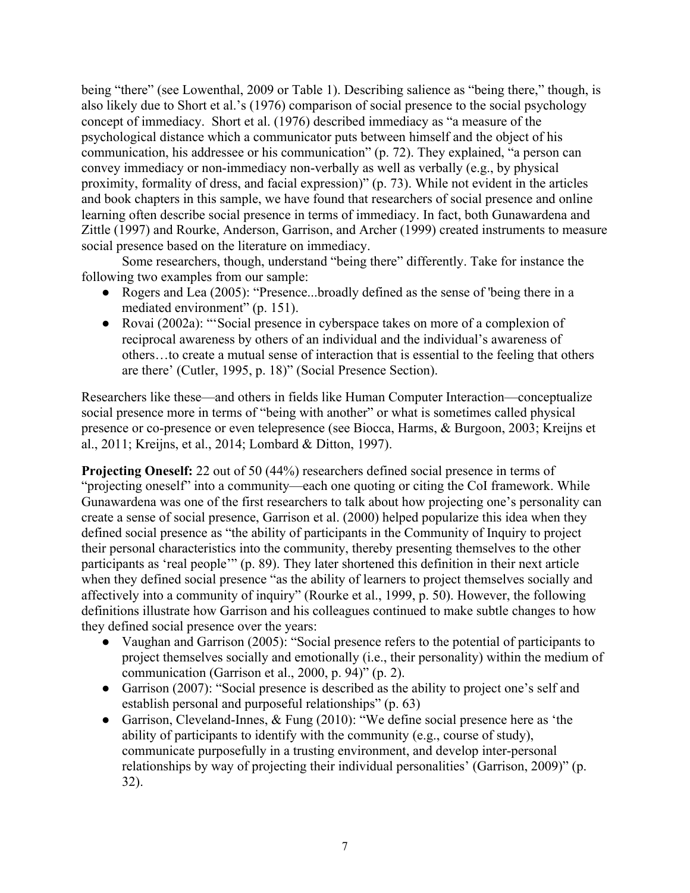being "there" (see Lowenthal, 2009 or Table 1). Describing salience as "being there," though, is also likely due to Short et al.'s (1976) comparison of social presence to the social psychology concept of immediacy. Short et al. (1976) described immediacy as "a measure of the psychological distance which a communicator puts between himself and the object of his communication, his addressee or his communication" (p. 72). They explained, "a person can convey immediacy or non-immediacy non-verbally as well as verbally (e.g., by physical proximity, formality of dress, and facial expression)" (p. 73). While not evident in the articles and book chapters in this sample, we have found that researchers of social presence and online learning often describe social presence in terms of immediacy. In fact, both Gunawardena and Zittle (1997) and Rourke, Anderson, Garrison, and Archer (1999) created instruments to measure social presence based on the literature on immediacy.

Some researchers, though, understand "being there" differently. Take for instance the following two examples from our sample:

- Rogers and Lea (2005): "Presence...broadly defined as the sense of 'being there in a mediated environment" (p. 151).
- Rovai (2002a): "'Social presence in cyberspace takes on more of a complexion of reciprocal awareness by others of an individual and the individual's awareness of others…to create a mutual sense of interaction that is essential to the feeling that others are there' (Cutler, 1995, p. 18)" (Social Presence Section).

Researchers like these—and others in fields like Human Computer Interaction—conceptualize social presence more in terms of "being with another" or what is sometimes called physical presence or co-presence or even telepresence (see Biocca, Harms, & Burgoon, 2003; Kreijns et al., 2011; Kreijns, et al., 2014; Lombard & Ditton, 1997).

**Projecting Oneself:** 22 out of 50 (44%) researchers defined social presence in terms of "projecting oneself" into a community—each one quoting or citing the CoI framework. While Gunawardena was one of the first researchers to talk about how projecting one's personality can create a sense of social presence, Garrison et al. (2000) helped popularize this idea when they defined social presence as "the ability of participants in the Community of Inquiry to project their personal characteristics into the community, thereby presenting themselves to the other participants as 'real people'" (p. 89). They later shortened this definition in their next article when they defined social presence "as the ability of learners to project themselves socially and affectively into a community of inquiry" (Rourke et al., 1999, p. 50). However, the following definitions illustrate how Garrison and his colleagues continued to make subtle changes to how they defined social presence over the years:

- Vaughan and Garrison (2005): "Social presence refers to the potential of participants to project themselves socially and emotionally (i.e., their personality) within the medium of communication (Garrison et al., 2000, p. 94)" (p. 2).
- Garrison (2007): "Social presence is described as the ability to project one's self and establish personal and purposeful relationships" (p. 63)
- Garrison, Cleveland-Innes, & Fung (2010): "We define social presence here as 'the ability of participants to identify with the community (e.g., course of study), communicate purposefully in a trusting environment, and develop inter-personal relationships by way of projecting their individual personalities' (Garrison, 2009)" (p. 32).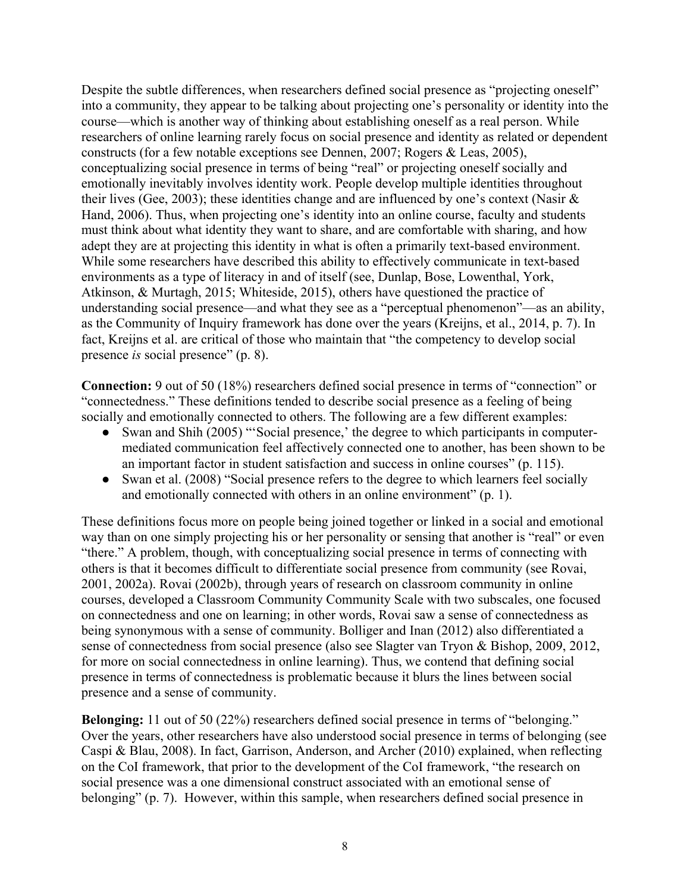Despite the subtle differences, when researchers defined social presence as "projecting oneself" into a community, they appear to be talking about projecting one's personality or identity into the course—which is another way of thinking about establishing oneself as a real person. While researchers of online learning rarely focus on social presence and identity as related or dependent constructs (for a few notable exceptions see Dennen, 2007; Rogers & Leas, 2005), conceptualizing social presence in terms of being "real" or projecting oneself socially and emotionally inevitably involves identity work. People develop multiple identities throughout their lives (Gee, 2003); these identities change and are influenced by one's context (Nasir  $\&$ Hand, 2006). Thus, when projecting one's identity into an online course, faculty and students must think about what identity they want to share, and are comfortable with sharing, and how adept they are at projecting this identity in what is often a primarily text-based environment. While some researchers have described this ability to effectively communicate in text-based environments as a type of literacy in and of itself (see, Dunlap, Bose, Lowenthal, York, Atkinson, & Murtagh, 2015; Whiteside, 2015), others have questioned the practice of understanding social presence—and what they see as a "perceptual phenomenon"—as an ability, as the Community of Inquiry framework has done over the years (Kreijns, et al., 2014, p. 7). In fact, Kreijns et al. are critical of those who maintain that "the competency to develop social presence *is* social presence" (p. 8).

**Connection:** 9 out of 50 (18%) researchers defined social presence in terms of "connection" or "connectedness." These definitions tended to describe social presence as a feeling of being socially and emotionally connected to others. The following are a few different examples:

- Swan and Shih (2005) "'Social presence,' the degree to which participants in computermediated communication feel affectively connected one to another, has been shown to be an important factor in student satisfaction and success in online courses" (p. 115).
- Swan et al. (2008) "Social presence refers to the degree to which learners feel socially and emotionally connected with others in an online environment" (p. 1).

These definitions focus more on people being joined together or linked in a social and emotional way than on one simply projecting his or her personality or sensing that another is "real" or even "there." A problem, though, with conceptualizing social presence in terms of connecting with others is that it becomes difficult to differentiate social presence from community (see Rovai, 2001, 2002a). Rovai (2002b), through years of research on classroom community in online courses, developed a Classroom Community Community Scale with two subscales, one focused on connectedness and one on learning; in other words, Rovai saw a sense of connectedness as being synonymous with a sense of community. Bolliger and Inan (2012) also differentiated a sense of connectedness from social presence (also see Slagter van Tryon & Bishop, 2009, 2012, for more on social connectedness in online learning). Thus, we contend that defining social presence in terms of connectedness is problematic because it blurs the lines between social presence and a sense of community.

**Belonging:** 11 out of 50 (22%) researchers defined social presence in terms of "belonging." Over the years, other researchers have also understood social presence in terms of belonging (see Caspi & Blau, 2008). In fact, Garrison, Anderson, and Archer (2010) explained, when reflecting on the CoI framework, that prior to the development of the CoI framework, "the research on social presence was a one dimensional construct associated with an emotional sense of belonging" (p. 7). However, within this sample, when researchers defined social presence in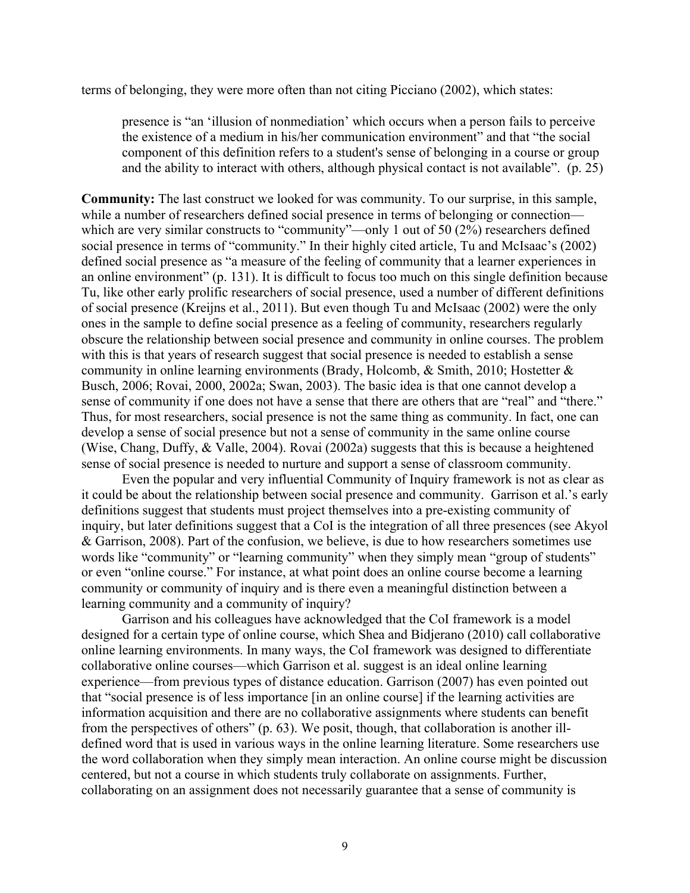terms of belonging, they were more often than not citing Picciano (2002), which states:

presence is "an 'illusion of nonmediation' which occurs when a person fails to perceive the existence of a medium in his/her communication environment" and that "the social component of this definition refers to a student's sense of belonging in a course or group and the ability to interact with others, although physical contact is not available". (p. 25)

**Community:** The last construct we looked for was community. To our surprise, in this sample, while a number of researchers defined social presence in terms of belonging or connection which are very similar constructs to "community"—only 1 out of 50 (2%) researchers defined social presence in terms of "community." In their highly cited article, Tu and McIsaac's (2002) defined social presence as "a measure of the feeling of community that a learner experiences in an online environment" (p. 131). It is difficult to focus too much on this single definition because Tu, like other early prolific researchers of social presence, used a number of different definitions of social presence (Kreijns et al., 2011). But even though Tu and McIsaac (2002) were the only ones in the sample to define social presence as a feeling of community, researchers regularly obscure the relationship between social presence and community in online courses. The problem with this is that years of research suggest that social presence is needed to establish a sense community in online learning environments (Brady, Holcomb, & Smith, 2010; Hostetter & Busch, 2006; Rovai, 2000, 2002a; Swan, 2003). The basic idea is that one cannot develop a sense of community if one does not have a sense that there are others that are "real" and "there." Thus, for most researchers, social presence is not the same thing as community. In fact, one can develop a sense of social presence but not a sense of community in the same online course (Wise, Chang, Duffy, & Valle, 2004). Rovai (2002a) suggests that this is because a heightened sense of social presence is needed to nurture and support a sense of classroom community.

Even the popular and very influential Community of Inquiry framework is not as clear as it could be about the relationship between social presence and community. Garrison et al.'s early definitions suggest that students must project themselves into a pre-existing community of inquiry, but later definitions suggest that a CoI is the integration of all three presences (see Akyol & Garrison, 2008). Part of the confusion, we believe, is due to how researchers sometimes use words like "community" or "learning community" when they simply mean "group of students" or even "online course." For instance, at what point does an online course become a learning community or community of inquiry and is there even a meaningful distinction between a learning community and a community of inquiry?

Garrison and his colleagues have acknowledged that the CoI framework is a model designed for a certain type of online course, which Shea and Bidjerano (2010) call collaborative online learning environments. In many ways, the CoI framework was designed to differentiate collaborative online courses—which Garrison et al. suggest is an ideal online learning experience—from previous types of distance education. Garrison (2007) has even pointed out that "social presence is of less importance [in an online course] if the learning activities are information acquisition and there are no collaborative assignments where students can benefit from the perspectives of others" (p. 63). We posit, though, that collaboration is another illdefined word that is used in various ways in the online learning literature. Some researchers use the word collaboration when they simply mean interaction. An online course might be discussion centered, but not a course in which students truly collaborate on assignments. Further, collaborating on an assignment does not necessarily guarantee that a sense of community is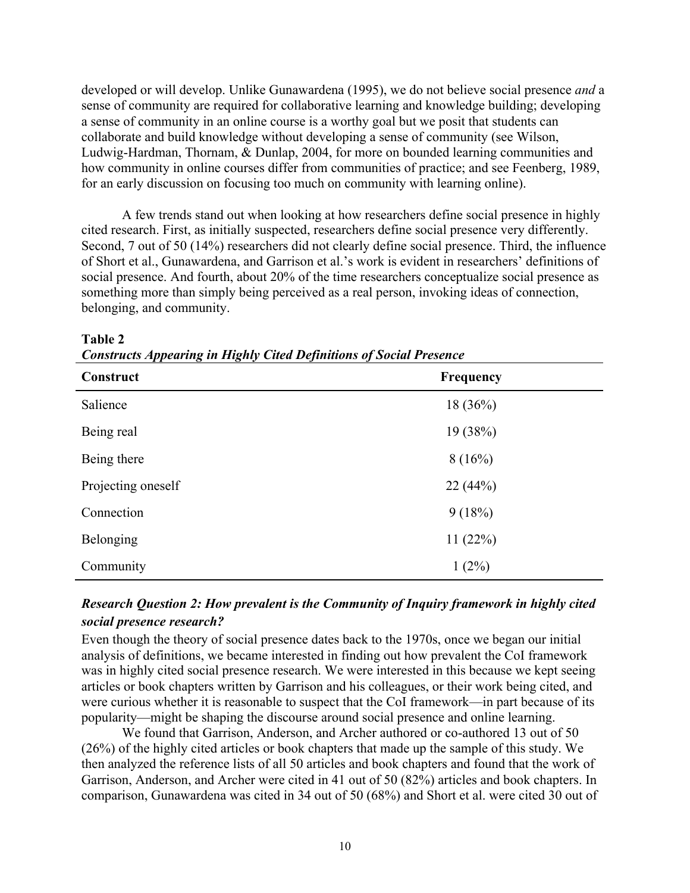developed or will develop. Unlike Gunawardena (1995), we do not believe social presence *and* a sense of community are required for collaborative learning and knowledge building; developing a sense of community in an online course is a worthy goal but we posit that students can collaborate and build knowledge without developing a sense of community (see Wilson, Ludwig-Hardman, Thornam, & Dunlap, 2004, for more on bounded learning communities and how community in online courses differ from communities of practice; and see Feenberg, 1989, for an early discussion on focusing too much on community with learning online).

A few trends stand out when looking at how researchers define social presence in highly cited research. First, as initially suspected, researchers define social presence very differently. Second, 7 out of 50 (14%) researchers did not clearly define social presence. Third, the influence of Short et al., Gunawardena, and Garrison et al.'s work is evident in researchers' definitions of social presence. And fourth, about 20% of the time researchers conceptualize social presence as something more than simply being perceived as a real person, invoking ideas of connection, belonging, and community.

| . .<br>ັ<br>ິ້<br>$\cdot$<br>Construct | $\cdot$<br>Frequency |
|----------------------------------------|----------------------|
| Salience                               | 18(36%)              |
| Being real                             | 19(38%)              |
| Being there                            | 8(16%)               |
| Projecting oneself                     | 22(44%)              |
| Connection                             | 9(18%)               |
| Belonging                              | 11(22%)              |
| Community                              | $1(2\%)$             |

| <b>Table 2</b>                                                             |  |
|----------------------------------------------------------------------------|--|
| <b>Constructs Appearing in Highly Cited Definitions of Social Presence</b> |  |

# *Research Question 2: How prevalent is the Community of Inquiry framework in highly cited social presence research?*

Even though the theory of social presence dates back to the 1970s, once we began our initial analysis of definitions, we became interested in finding out how prevalent the CoI framework was in highly cited social presence research. We were interested in this because we kept seeing articles or book chapters written by Garrison and his colleagues, or their work being cited, and were curious whether it is reasonable to suspect that the CoI framework—in part because of its popularity—might be shaping the discourse around social presence and online learning.

We found that Garrison, Anderson, and Archer authored or co-authored 13 out of 50 (26%) of the highly cited articles or book chapters that made up the sample of this study. We then analyzed the reference lists of all 50 articles and book chapters and found that the work of Garrison, Anderson, and Archer were cited in 41 out of 50 (82%) articles and book chapters. In comparison, Gunawardena was cited in 34 out of 50 (68%) and Short et al. were cited 30 out of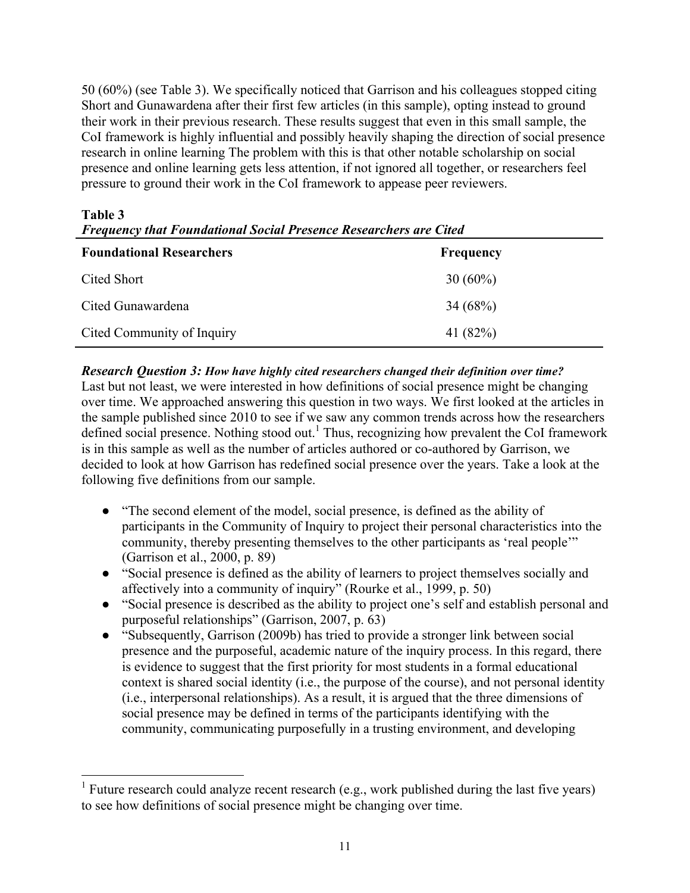50 (60%) (see Table 3). We specifically noticed that Garrison and his colleagues stopped citing Short and Gunawardena after their first few articles (in this sample), opting instead to ground their work in their previous research. These results suggest that even in this small sample, the CoI framework is highly influential and possibly heavily shaping the direction of social presence research in online learning The problem with this is that other notable scholarship on social presence and online learning gets less attention, if not ignored all together, or researchers feel pressure to ground their work in the CoI framework to appease peer reviewers.

| <b>Frequency that Foundational Social Presence Researchers are Cited</b> |                  |  |
|--------------------------------------------------------------------------|------------------|--|
| <b>Foundational Researchers</b>                                          | <b>Frequency</b> |  |
| Cited Short                                                              | $30(60\%)$       |  |
| Cited Gunawardena                                                        | 34(68%)          |  |
| Cited Community of Inquiry                                               | 41 (82%)         |  |

#### **Table 3** *Frequency that Foundational Social Presence Researchers are Cited*

*Research Question 3: How have highly cited researchers changed their definition over time?* Last but not least, we were interested in how definitions of social presence might be changing over time. We approached answering this question in two ways. We first looked at the articles in the sample published since 2010 to see if we saw any common trends across how the researchers defined social presence. Nothing stood out.<sup>1</sup> Thus, recognizing how prevalent the CoI framework is in this sample as well as the number of articles authored or co-authored by Garrison, we decided to look at how Garrison has redefined social presence over the years. Take a look at the following five definitions from our sample.

- "The second element of the model, social presence, is defined as the ability of participants in the Community of Inquiry to project their personal characteristics into the community, thereby presenting themselves to the other participants as 'real people'" (Garrison et al., 2000, p. 89)
- "Social presence is defined as the ability of learners to project themselves socially and affectively into a community of inquiry" (Rourke et al., 1999, p. 50)
- "Social presence is described as the ability to project one's self and establish personal and purposeful relationships" (Garrison, 2007, p. 63)
- "Subsequently, Garrison (2009b) has tried to provide a stronger link between social presence and the purposeful, academic nature of the inquiry process. In this regard, there is evidence to suggest that the first priority for most students in a formal educational context is shared social identity (i.e., the purpose of the course), and not personal identity (i.e., interpersonal relationships). As a result, it is argued that the three dimensions of social presence may be defined in terms of the participants identifying with the community, communicating purposefully in a trusting environment, and developing

<sup>&</sup>lt;sup>1</sup> Future research could analyze recent research (e.g., work published during the last five years) to see how definitions of social presence might be changing over time.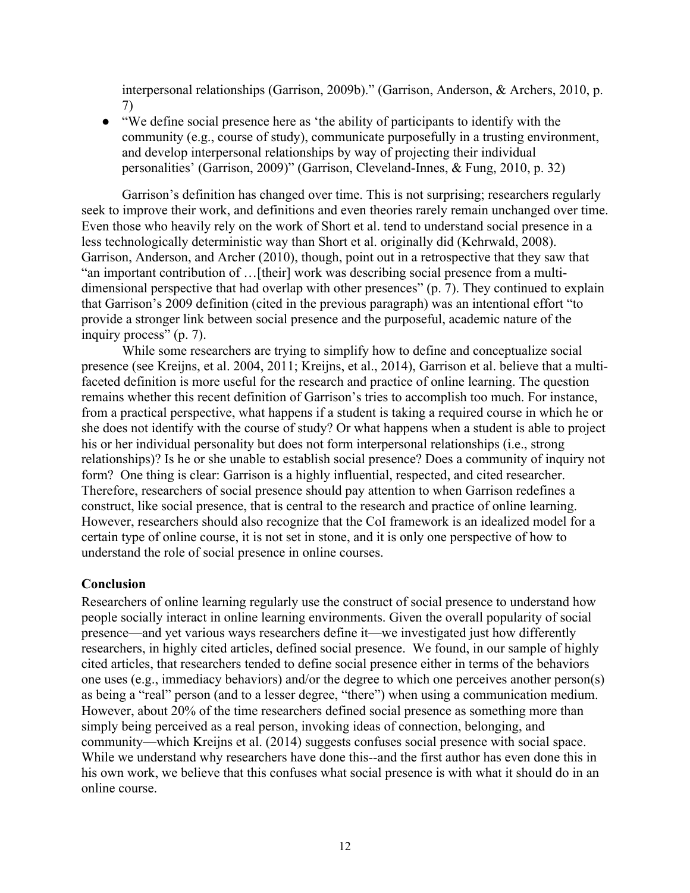interpersonal relationships (Garrison, 2009b)." (Garrison, Anderson, & Archers, 2010, p. 7)

● "We define social presence here as 'the ability of participants to identify with the community (e.g., course of study), communicate purposefully in a trusting environment, and develop interpersonal relationships by way of projecting their individual personalities' (Garrison, 2009)" (Garrison, Cleveland-Innes, & Fung, 2010, p. 32)

Garrison's definition has changed over time. This is not surprising; researchers regularly seek to improve their work, and definitions and even theories rarely remain unchanged over time. Even those who heavily rely on the work of Short et al. tend to understand social presence in a less technologically deterministic way than Short et al. originally did (Kehrwald, 2008). Garrison, Anderson, and Archer (2010), though, point out in a retrospective that they saw that "an important contribution of …[their] work was describing social presence from a multidimensional perspective that had overlap with other presences" (p. 7). They continued to explain that Garrison's 2009 definition (cited in the previous paragraph) was an intentional effort "to provide a stronger link between social presence and the purposeful, academic nature of the inquiry process" (p. 7).

While some researchers are trying to simplify how to define and conceptualize social presence (see Kreijns, et al. 2004, 2011; Kreijns, et al., 2014), Garrison et al. believe that a multifaceted definition is more useful for the research and practice of online learning. The question remains whether this recent definition of Garrison's tries to accomplish too much. For instance, from a practical perspective, what happens if a student is taking a required course in which he or she does not identify with the course of study? Or what happens when a student is able to project his or her individual personality but does not form interpersonal relationships (i.e., strong relationships)? Is he or she unable to establish social presence? Does a community of inquiry not form? One thing is clear: Garrison is a highly influential, respected, and cited researcher. Therefore, researchers of social presence should pay attention to when Garrison redefines a construct, like social presence, that is central to the research and practice of online learning. However, researchers should also recognize that the CoI framework is an idealized model for a certain type of online course, it is not set in stone, and it is only one perspective of how to understand the role of social presence in online courses.

# **Conclusion**

Researchers of online learning regularly use the construct of social presence to understand how people socially interact in online learning environments. Given the overall popularity of social presence—and yet various ways researchers define it—we investigated just how differently researchers, in highly cited articles, defined social presence. We found, in our sample of highly cited articles, that researchers tended to define social presence either in terms of the behaviors one uses (e.g., immediacy behaviors) and/or the degree to which one perceives another person(s) as being a "real" person (and to a lesser degree, "there") when using a communication medium. However, about 20% of the time researchers defined social presence as something more than simply being perceived as a real person, invoking ideas of connection, belonging, and community—which Kreijns et al. (2014) suggests confuses social presence with social space. While we understand why researchers have done this--and the first author has even done this in his own work, we believe that this confuses what social presence is with what it should do in an online course.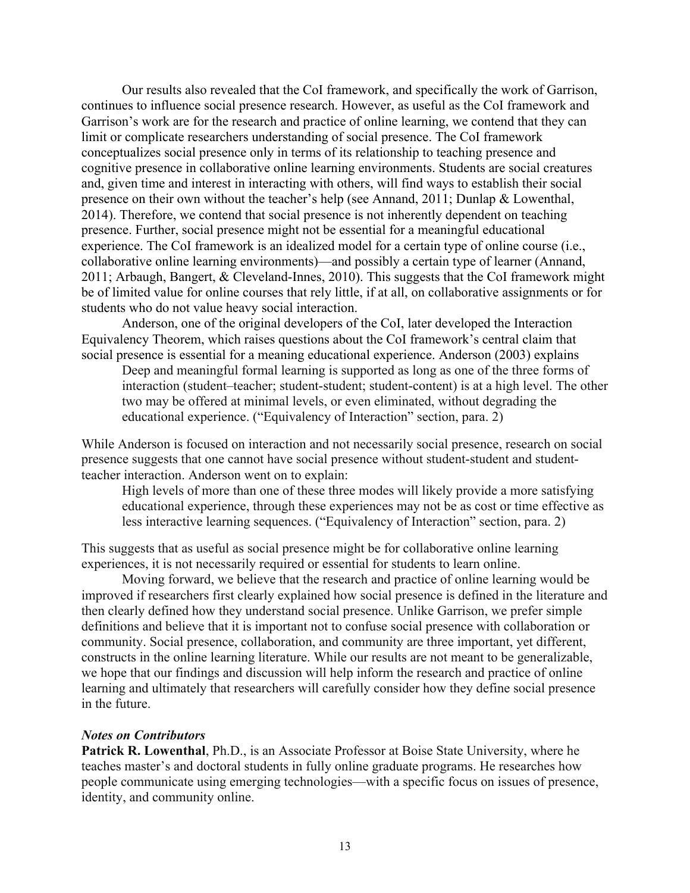Our results also revealed that the CoI framework, and specifically the work of Garrison, continues to influence social presence research. However, as useful as the CoI framework and Garrison's work are for the research and practice of online learning, we contend that they can limit or complicate researchers understanding of social presence. The CoI framework conceptualizes social presence only in terms of its relationship to teaching presence and cognitive presence in collaborative online learning environments. Students are social creatures and, given time and interest in interacting with others, will find ways to establish their social presence on their own without the teacher's help (see Annand, 2011; Dunlap & Lowenthal, 2014). Therefore, we contend that social presence is not inherently dependent on teaching presence. Further, social presence might not be essential for a meaningful educational experience. The CoI framework is an idealized model for a certain type of online course (i.e., collaborative online learning environments)—and possibly a certain type of learner (Annand, 2011; Arbaugh, Bangert, & Cleveland-Innes, 2010). This suggests that the CoI framework might be of limited value for online courses that rely little, if at all, on collaborative assignments or for students who do not value heavy social interaction.

Anderson, one of the original developers of the CoI, later developed the Interaction Equivalency Theorem, which raises questions about the CoI framework's central claim that social presence is essential for a meaning educational experience. Anderson (2003) explains

Deep and meaningful formal learning is supported as long as one of the three forms of interaction (student–teacher; student-student; student-content) is at a high level. The other two may be offered at minimal levels, or even eliminated, without degrading the educational experience. ("Equivalency of Interaction" section, para. 2)

While Anderson is focused on interaction and not necessarily social presence, research on social presence suggests that one cannot have social presence without student-student and studentteacher interaction. Anderson went on to explain:

High levels of more than one of these three modes will likely provide a more satisfying educational experience, through these experiences may not be as cost or time effective as less interactive learning sequences. ("Equivalency of Interaction" section, para. 2)

This suggests that as useful as social presence might be for collaborative online learning experiences, it is not necessarily required or essential for students to learn online.

Moving forward, we believe that the research and practice of online learning would be improved if researchers first clearly explained how social presence is defined in the literature and then clearly defined how they understand social presence. Unlike Garrison, we prefer simple definitions and believe that it is important not to confuse social presence with collaboration or community. Social presence, collaboration, and community are three important, yet different, constructs in the online learning literature. While our results are not meant to be generalizable, we hope that our findings and discussion will help inform the research and practice of online learning and ultimately that researchers will carefully consider how they define social presence in the future.

#### *Notes on Contributors*

**Patrick R. Lowenthal**, Ph.D., is an Associate Professor at Boise State University, where he teaches master's and doctoral students in fully online graduate programs. He researches how people communicate using emerging technologies—with a specific focus on issues of presence, identity, and community online.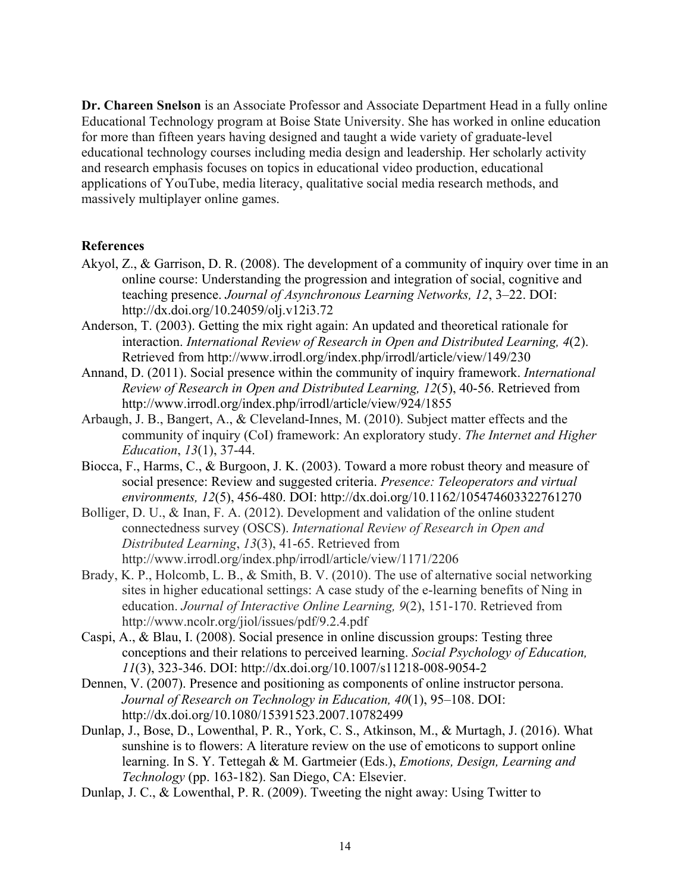**Dr. Chareen Snelson** is an Associate Professor and Associate Department Head in a fully online Educational Technology program at Boise State University. She has worked in online education for more than fifteen years having designed and taught a wide variety of graduate-level educational technology courses including media design and leadership. Her scholarly activity and research emphasis focuses on topics in educational video production, educational applications of YouTube, media literacy, qualitative social media research methods, and massively multiplayer online games.

### **References**

- Akyol, Z., & Garrison, D. R. (2008). The development of a community of inquiry over time in an online course: Understanding the progression and integration of social, cognitive and teaching presence. *Journal of Asynchronous Learning Networks, 12*, 3–22. DOI: http://dx.doi.org/10.24059/olj.v12i3.72
- Anderson, T. (2003). Getting the mix right again: An updated and theoretical rationale for interaction. *International Review of Research in Open and Distributed Learning, 4*(2). Retrieved from http://www.irrodl.org/index.php/irrodl/article/view/149/230
- Annand, D. (2011). Social presence within the community of inquiry framework. *International Review of Research in Open and Distributed Learning, 12*(5), 40-56. Retrieved from http://www.irrodl.org/index.php/irrodl/article/view/924/1855
- Arbaugh, J. B., Bangert, A., & Cleveland-Innes, M. (2010). Subject matter effects and the community of inquiry (CoI) framework: An exploratory study. *The Internet and Higher Education*, *13*(1), 37-44.
- Biocca, F., Harms, C., & Burgoon, J. K. (2003). Toward a more robust theory and measure of social presence: Review and suggested criteria. *Presence: Teleoperators and virtual environments, 12*(5), 456-480. DOI: http://dx.doi.org/10.1162/105474603322761270
- Bolliger, D. U., & Inan, F. A. (2012). Development and validation of the online student connectedness survey (OSCS). *International Review of Research in Open and Distributed Learning*, *13*(3), 41-65. Retrieved from http://www.irrodl.org/index.php/irrodl/article/view/1171/2206
- Brady, K. P., Holcomb, L. B., & Smith, B. V. (2010). The use of alternative social networking sites in higher educational settings: A case study of the e-learning benefits of Ning in education. *Journal of Interactive Online Learning, 9*(2), 151-170. Retrieved from http://www.ncolr.org/jiol/issues/pdf/9.2.4.pdf
- Caspi, A., & Blau, I. (2008). Social presence in online discussion groups: Testing three conceptions and their relations to perceived learning. *Social Psychology of Education, 11*(3), 323-346. DOI: http://dx.doi.org/10.1007/s11218-008-9054-2
- Dennen, V. (2007). Presence and positioning as components of online instructor persona. *Journal of Research on Technology in Education, 40*(1), 95–108. DOI: http://dx.doi.org/10.1080/15391523.2007.10782499
- Dunlap, J., Bose, D., Lowenthal, P. R., York, C. S., Atkinson, M., & Murtagh, J. (2016). What sunshine is to flowers: A literature review on the use of emoticons to support online learning. In S. Y. Tettegah & M. Gartmeier (Eds.), *Emotions, Design, Learning and Technology* (pp. 163-182). San Diego, CA: Elsevier.
- Dunlap, J. C., & Lowenthal, P. R. (2009). Tweeting the night away: Using Twitter to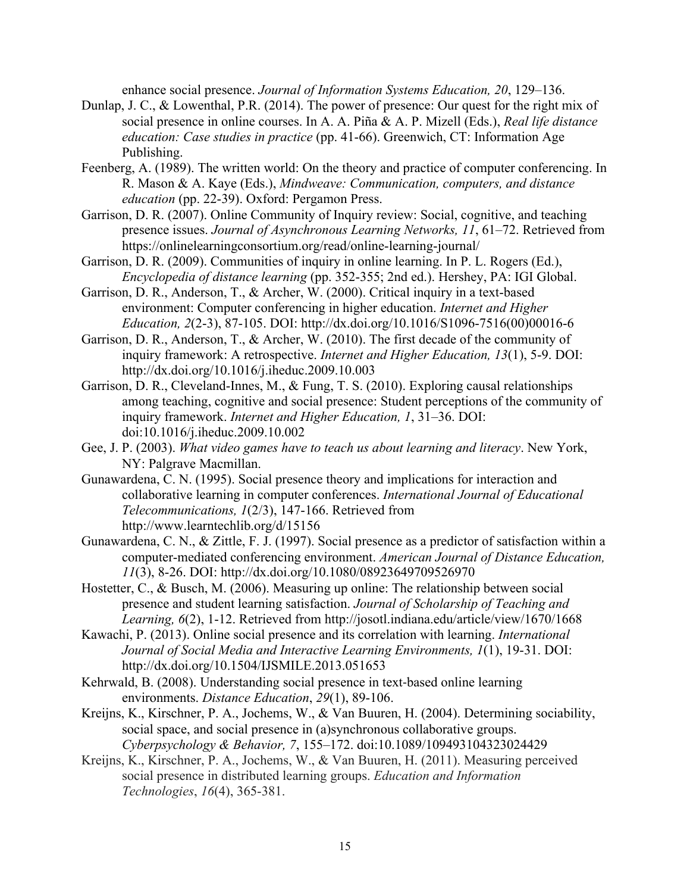enhance social presence. *Journal of Information Systems Education, 20*, 129–136.

- Dunlap, J. C., & Lowenthal, P.R. (2014). The power of presence: Our quest for the right mix of social presence in online courses. In A. A. Piña & A. P. Mizell (Eds.), *Real life distance education: Case studies in practice* (pp. 41-66). Greenwich, CT: Information Age Publishing.
- Feenberg, A. (1989). The written world: On the theory and practice of computer conferencing. In R. Mason & A. Kaye (Eds.), *Mindweave: Communication, computers, and distance education* (pp. 22-39). Oxford: Pergamon Press.
- Garrison, D. R. (2007). Online Community of Inquiry review: Social, cognitive, and teaching presence issues. *Journal of Asynchronous Learning Networks, 11*, 61–72. Retrieved from https://onlinelearningconsortium.org/read/online-learning-journal/
- Garrison, D. R. (2009). Communities of inquiry in online learning. In P. L. Rogers (Ed.), *Encyclopedia of distance learning* (pp. 352-355; 2nd ed.). Hershey, PA: IGI Global.
- Garrison, D. R., Anderson, T., & Archer, W. (2000). Critical inquiry in a text-based environment: Computer conferencing in higher education. *Internet and Higher Education, 2*(2-3), 87-105. DOI: http://dx.doi.org/10.1016/S1096-7516(00)00016-6
- Garrison, D. R., Anderson, T., & Archer, W. (2010). The first decade of the community of inquiry framework: A retrospective. *Internet and Higher Education, 13*(1), 5-9. DOI: http://dx.doi.org/10.1016/j.iheduc.2009.10.003
- Garrison, D. R., Cleveland-Innes, M., & Fung, T. S. (2010). Exploring causal relationships among teaching, cognitive and social presence: Student perceptions of the community of inquiry framework. *Internet and Higher Education, 1*, 31–36. DOI: doi:10.1016/j.iheduc.2009.10.002
- Gee, J. P. (2003). *What video games have to teach us about learning and literacy*. New York, NY: Palgrave Macmillan.
- Gunawardena, C. N. (1995). Social presence theory and implications for interaction and collaborative learning in computer conferences. *International Journal of Educational Telecommunications, 1*(2/3), 147-166. Retrieved from http://www.learntechlib.org/d/15156
- Gunawardena, C. N., & Zittle, F. J. (1997). Social presence as a predictor of satisfaction within a computer-mediated conferencing environment. *American Journal of Distance Education, 11*(3), 8-26. DOI: http://dx.doi.org/10.1080/08923649709526970
- Hostetter, C., & Busch, M. (2006). Measuring up online: The relationship between social presence and student learning satisfaction. *Journal of Scholarship of Teaching and Learning, 6*(2), 1-12. Retrieved from http://josotl.indiana.edu/article/view/1670/1668
- Kawachi, P. (2013). Online social presence and its correlation with learning. *International Journal of Social Media and Interactive Learning Environments, 1*(1), 19-31. DOI: http://dx.doi.org/10.1504/IJSMILE.2013.051653
- Kehrwald, B. (2008). Understanding social presence in text-based online learning environments. *Distance Education*, *29*(1), 89-106.
- Kreijns, K., Kirschner, P. A., Jochems, W., & Van Buuren, H. (2004). Determining sociability, social space, and social presence in (a)synchronous collaborative groups. *Cyberpsychology & Behavior, 7*, 155–172. doi:10.1089/109493104323024429
- Kreijns, K., Kirschner, P. A., Jochems, W., & Van Buuren, H. (2011). Measuring perceived social presence in distributed learning groups. *Education and Information Technologies*, *16*(4), 365-381.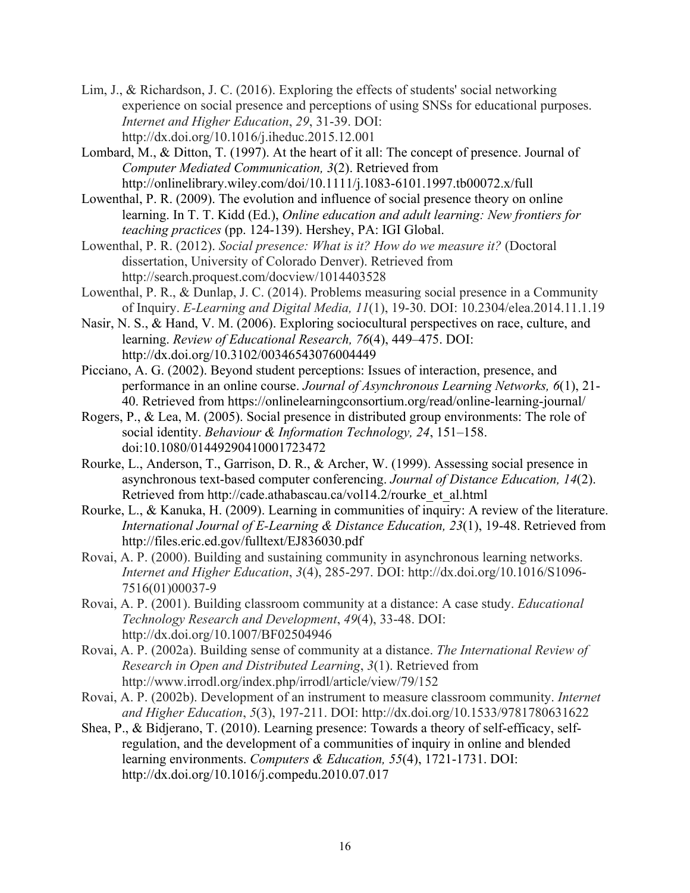Lim, J., & Richardson, J. C. (2016). Exploring the effects of students' social networking experience on social presence and perceptions of using SNSs for educational purposes. *Internet and Higher Education*, *29*, 31-39. DOI: http://dx.doi.org/10.1016/j.iheduc.2015.12.001

Lombard, M., & Ditton, T. (1997). At the heart of it all: The concept of presence. Journal of *Computer Mediated Communication, 3*(2). Retrieved from http://onlinelibrary.wiley.com/doi/10.1111/j.1083-6101.1997.tb00072.x/full

Lowenthal, P. R. (2009). The evolution and influence of social presence theory on online learning. In T. T. Kidd (Ed.), *Online education and adult learning: New frontiers for teaching practices* (pp. 124-139). Hershey, PA: IGI Global.

Lowenthal, P. R. (2012). *Social presence: What is it? How do we measure it?* (Doctoral dissertation, University of Colorado Denver). Retrieved from http://search.proquest.com/docview/1014403528

Lowenthal, P. R., & Dunlap, J. C. (2014). Problems measuring social presence in a Community of Inquiry. *E-Learning and Digital Media, 11*(1), 19-30. DOI: 10.2304/elea.2014.11.1.19

Nasir, N. S., & Hand, V. M. (2006). Exploring sociocultural perspectives on race, culture, and learning. *Review of Educational Research, 76*(4), 449–475. DOI: http://dx.doi.org/10.3102/00346543076004449

Picciano, A. G. (2002). Beyond student perceptions: Issues of interaction, presence, and performance in an online course. *Journal of Asynchronous Learning Networks, 6*(1), 21- 40. Retrieved from https://onlinelearningconsortium.org/read/online-learning-journal/

- Rogers, P., & Lea, M. (2005). Social presence in distributed group environments: The role of social identity. *Behaviour & Information Technology, 24*, 151–158. doi:10.1080/01449290410001723472
- Rourke, L., Anderson, T., Garrison, D. R., & Archer, W. (1999). Assessing social presence in asynchronous text-based computer conferencing. *Journal of Distance Education, 14*(2). Retrieved from http://cade.athabascau.ca/vol14.2/rourke\_et\_al.html
- Rourke, L., & Kanuka, H. (2009). Learning in communities of inquiry: A review of the literature. *International Journal of E-Learning & Distance Education, 23*(1), 19-48. Retrieved from http://files.eric.ed.gov/fulltext/EJ836030.pdf
- Rovai, A. P. (2000). Building and sustaining community in asynchronous learning networks. *Internet and Higher Education*, *3*(4), 285-297. DOI: http://dx.doi.org/10.1016/S1096- 7516(01)00037-9
- Rovai, A. P. (2001). Building classroom community at a distance: A case study. *Educational Technology Research and Development*, *49*(4), 33-48. DOI: http://dx.doi.org/10.1007/BF02504946
- Rovai, A. P. (2002a). Building sense of community at a distance. *The International Review of Research in Open and Distributed Learning*, *3*(1). Retrieved from http://www.irrodl.org/index.php/irrodl/article/view/79/152
- Rovai, A. P. (2002b). Development of an instrument to measure classroom community. *Internet and Higher Education*, *5*(3), 197-211. DOI: http://dx.doi.org/10.1533/9781780631622
- Shea, P., & Bidjerano, T. (2010). Learning presence: Towards a theory of self-efficacy, selfregulation, and the development of a communities of inquiry in online and blended learning environments. *Computers & Education, 55*(4), 1721-1731. DOI: http://dx.doi.org/10.1016/j.compedu.2010.07.017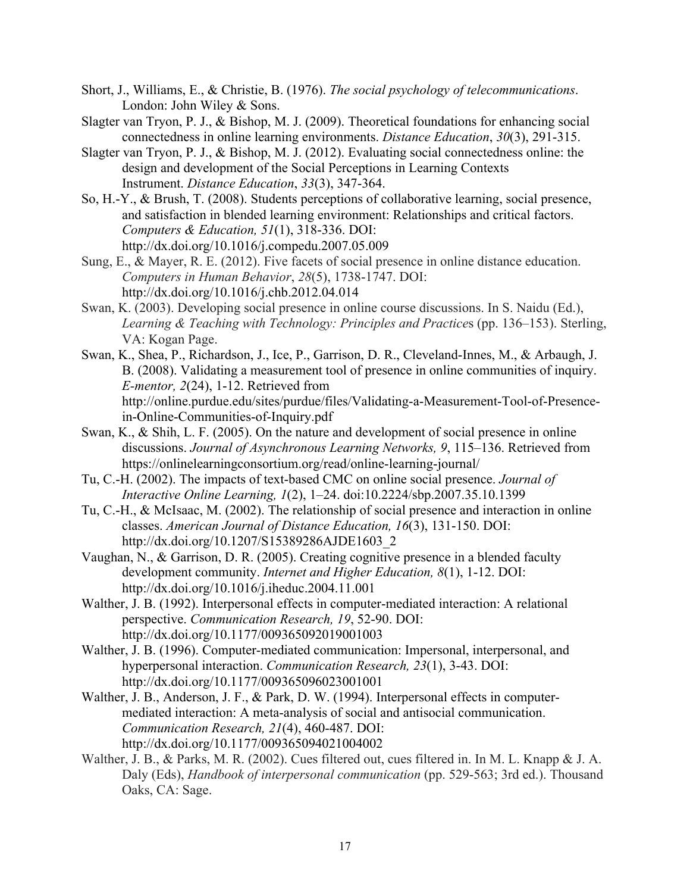- Short, J., Williams, E., & Christie, B. (1976). *The social psychology of telecommunications*. London: John Wiley & Sons.
- Slagter van Tryon, P. J., & Bishop, M. J. (2009). Theoretical foundations for enhancing social connectedness in online learning environments. *Distance Education*, *30*(3), 291-315.
- Slagter van Tryon, P. J., & Bishop, M. J. (2012). Evaluating social connectedness online: the design and development of the Social Perceptions in Learning Contexts Instrument. *Distance Education*, *33*(3), 347-364.
- So, H.-Y., & Brush, T. (2008). Students perceptions of collaborative learning, social presence, and satisfaction in blended learning environment: Relationships and critical factors. *Computers & Education, 51*(1), 318-336. DOI: http://dx.doi.org/10.1016/j.compedu.2007.05.009
- Sung, E., & Mayer, R. E. (2012). Five facets of social presence in online distance education. *Computers in Human Behavior*, *28*(5), 1738-1747. DOI: http://dx.doi.org/10.1016/j.chb.2012.04.014
- Swan, K. (2003). Developing social presence in online course discussions. In S. Naidu (Ed.), *Learning & Teaching with Technology: Principles and Practice*s (pp. 136–153). Sterling, VA: Kogan Page.
- Swan, K., Shea, P., Richardson, J., Ice, P., Garrison, D. R., Cleveland-Innes, M., & Arbaugh, J. B. (2008). Validating a measurement tool of presence in online communities of inquiry. *E-mentor, 2*(24), 1-12. Retrieved from http://online.purdue.edu/sites/purdue/files/Validating-a-Measurement-Tool-of-Presencein-Online-Communities-of-Inquiry.pdf
- Swan, K., & Shih, L. F. (2005). On the nature and development of social presence in online discussions. *Journal of Asynchronous Learning Networks, 9*, 115–136. Retrieved from https://onlinelearningconsortium.org/read/online-learning-journal/
- Tu, C.-H. (2002). The impacts of text-based CMC on online social presence. *Journal of Interactive Online Learning, 1*(2), 1–24. doi:10.2224/sbp.2007.35.10.1399
- Tu, C.-H., & McIsaac, M. (2002). The relationship of social presence and interaction in online classes. *American Journal of Distance Education, 16*(3), 131-150. DOI: http://dx.doi.org/10.1207/S15389286AJDE1603\_2
- Vaughan, N., & Garrison, D. R. (2005). Creating cognitive presence in a blended faculty development community. *Internet and Higher Education, 8*(1), 1-12. DOI: http://dx.doi.org/10.1016/j.iheduc.2004.11.001
- Walther, J. B. (1992). Interpersonal effects in computer-mediated interaction: A relational perspective. *Communication Research, 19*, 52-90. DOI: http://dx.doi.org/10.1177/009365092019001003
- Walther, J. B. (1996). Computer-mediated communication: Impersonal, interpersonal, and hyperpersonal interaction. *Communication Research, 23*(1), 3-43. DOI: http://dx.doi.org/10.1177/009365096023001001
- Walther, J. B., Anderson, J. F., & Park, D. W. (1994). Interpersonal effects in computermediated interaction: A meta-analysis of social and antisocial communication. *Communication Research, 21*(4), 460-487. DOI: http://dx.doi.org/10.1177/009365094021004002
- Walther, J. B., & Parks, M. R. (2002). Cues filtered out, cues filtered in. In M. L. Knapp & J. A. Daly (Eds), *Handbook of interpersonal communication* (pp. 529-563; 3rd ed.). Thousand Oaks, CA: Sage.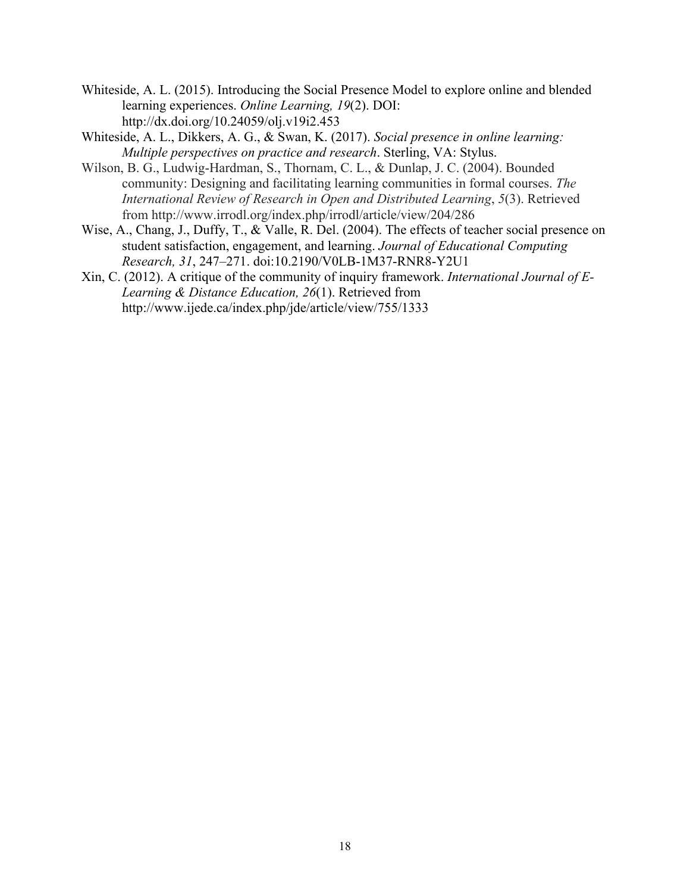- Whiteside, A. L. (2015). Introducing the Social Presence Model to explore online and blended learning experiences. *Online Learning, 19*(2). DOI: http://dx.doi.org/10.24059/olj.v19i2.453
- Whiteside, A. L., Dikkers, A. G., & Swan, K. (2017). *Social presence in online learning: Multiple perspectives on practice and research*. Sterling, VA: Stylus.
- Wilson, B. G., Ludwig-Hardman, S., Thornam, C. L., & Dunlap, J. C. (2004). Bounded community: Designing and facilitating learning communities in formal courses. *The International Review of Research in Open and Distributed Learning*, *5*(3). Retrieved from http://www.irrodl.org/index.php/irrodl/article/view/204/286
- Wise, A., Chang, J., Duffy, T., & Valle, R. Del. (2004). The effects of teacher social presence on student satisfaction, engagement, and learning. *Journal of Educational Computing Research, 31*, 247–271. doi:10.2190/V0LB-1M37-RNR8-Y2U1
- Xin, C. (2012). A critique of the community of inquiry framework. *International Journal of E-Learning & Distance Education, 26*(1). Retrieved from http://www.ijede.ca/index.php/jde/article/view/755/1333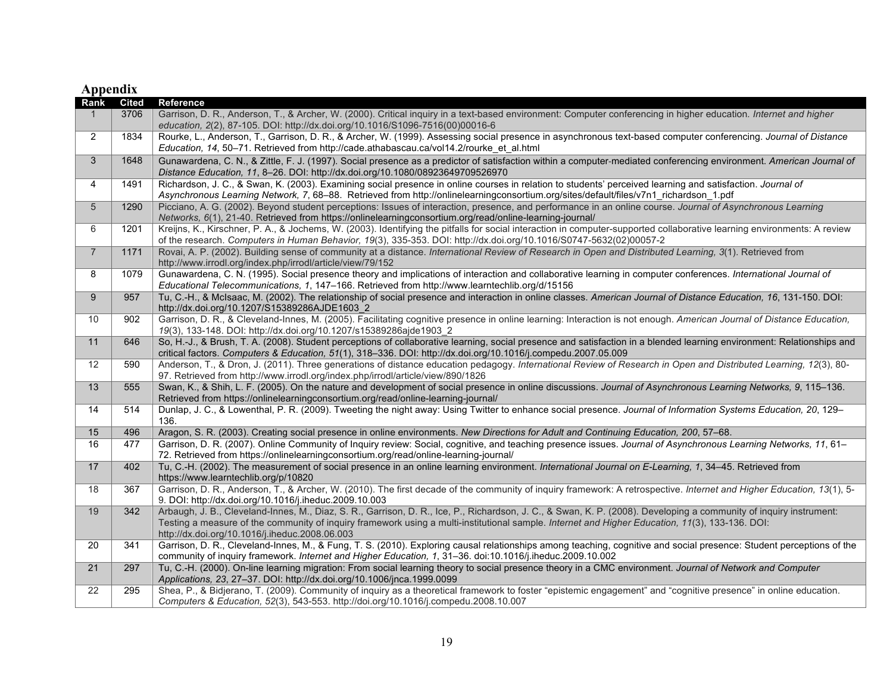| Appendix       |              |                                                                                                                                                                                                                                                                                                                                                                         |
|----------------|--------------|-------------------------------------------------------------------------------------------------------------------------------------------------------------------------------------------------------------------------------------------------------------------------------------------------------------------------------------------------------------------------|
| Rank           | <b>Cited</b> | Reference                                                                                                                                                                                                                                                                                                                                                               |
|                | 3706         | Garrison, D. R., Anderson, T., & Archer, W. (2000). Critical inquiry in a text-based environment: Computer conferencing in higher education. Internet and higher<br>education, 2(2), 87-105. DOI: http://dx.doi.org/10.1016/S1096-7516(00)00016-6                                                                                                                       |
| $\overline{2}$ | 1834         | Rourke, L., Anderson, T., Garrison, D. R., & Archer, W. (1999). Assessing social presence in asynchronous text-based computer conferencing. Journal of Distance<br>Education, 14, 50-71. Retrieved from http://cade.athabascau.ca/vol14.2/rourke et al.html                                                                                                             |
| 3              | 1648         | Gunawardena, C. N., & Zittle, F. J. (1997). Social presence as a predictor of satisfaction within a computer-mediated conferencing environment. American Journal of<br>Distance Education, 11, 8-26. DOI: http://dx.doi.org/10.1080/08923649709526970                                                                                                                   |
| $\overline{4}$ | 1491         | Richardson, J. C., & Swan, K. (2003). Examining social presence in online courses in relation to students' perceived learning and satisfaction. Journal of<br>Asynchronous Learning Network, 7, 68-88. Retrieved from http://onlinelearningconsortium.org/sites/default/files/v7n1 richardson 1.pdf                                                                     |
| 5              | 1290         | Picciano, A. G. (2002). Beyond student perceptions: Issues of interaction, presence, and performance in an online course. Journal of Asynchronous Learning<br>Networks, 6(1), 21-40. Retrieved from https://onlinelearningconsortium.org/read/online-learning-journal/                                                                                                  |
| 6              | 1201         | Kreijns, K., Kirschner, P. A., & Jochems, W. (2003). Identifying the pitfalls for social interaction in computer-supported collaborative learning environments: A review<br>of the research. Computers in Human Behavior, 19(3), 335-353. DOI: http://dx.doi.org/10.1016/S0747-5632(02)00057-2                                                                          |
| $\overline{7}$ | 1171         | Rovai, A. P. (2002). Building sense of community at a distance. International Review of Research in Open and Distributed Learning, 3(1). Retrieved from<br>http://www.irrodl.org/index.php/irrodl/article/view/79/152                                                                                                                                                   |
| 8              | 1079         | Gunawardena, C. N. (1995). Social presence theory and implications of interaction and collaborative learning in computer conferences. International Journal of<br>Educational Telecommunications, 1, 147-166. Retrieved from http://www.learntechlib.org/d/15156                                                                                                        |
| 9              | 957          | Tu, C.-H., & McIsaac, M. (2002). The relationship of social presence and interaction in online classes. American Journal of Distance Education, 16, 131-150. DOI:<br>http://dx.doi.org/10.1207/S15389286AJDE1603 2                                                                                                                                                      |
| 10             | 902          | Garrison, D. R., & Cleveland-Innes, M. (2005). Facilitating cognitive presence in online learning: Interaction is not enough. American Journal of Distance Education,<br>19(3), 133-148. DOI: http://dx.doi.org/10.1207/s15389286ajde1903 2                                                                                                                             |
| 11             | 646          | So, H.-J., & Brush, T. A. (2008). Student perceptions of collaborative learning, social presence and satisfaction in a blended learning environment: Relationships and<br>critical factors. Computers & Education, 51(1), 318-336. DOI: http://dx.doi.org/10.1016/j.compedu.2007.05.009                                                                                 |
| 12             | 590          | Anderson, T., & Dron, J. (2011). Three generations of distance education pedagogy. International Review of Research in Open and Distributed Learning, 12(3), 80-<br>97. Retrieved from http://www.irrodl.org/index.php/irrodl/article/view/890/1826                                                                                                                     |
| 13             | 555          | Swan, K., & Shih, L. F. (2005). On the nature and development of social presence in online discussions. Journal of Asynchronous Learning Networks, 9, 115-136.<br>Retrieved from https://onlinelearningconsortium.org/read/online-learning-journal/                                                                                                                     |
| 14             | 514          | Dunlap, J. C., & Lowenthal, P. R. (2009). Tweeting the night away: Using Twitter to enhance social presence. Journal of Information Systems Education, 20, 129-<br>136.                                                                                                                                                                                                 |
| 15             | 496          | Aragon, S. R. (2003). Creating social presence in online environments. New Directions for Adult and Continuing Education, 200, 57–68.                                                                                                                                                                                                                                   |
| 16             | 477          | Garrison, D. R. (2007). Online Community of Inquiry review: Social, cognitive, and teaching presence issues. Journal of Asynchronous Learning Networks, 11, 61-<br>72. Retrieved from https://onlinelearningconsortium.org/read/online-learning-journal/                                                                                                                |
| 17             | 402          | Tu, C.-H. (2002). The measurement of social presence in an online learning environment. International Journal on E-Learning, 1, 34-45. Retrieved from<br>https://www.learntechlib.org/p/10820                                                                                                                                                                           |
| 18             | 367          | Garrison, D. R., Anderson, T., & Archer, W. (2010). The first decade of the community of inquiry framework: A retrospective. Internet and Higher Education, 13(1), 5-<br>9. DOI: http://dx.doi.org/10.1016/j.iheduc.2009.10.003                                                                                                                                         |
| 19             | 342          | Arbaugh, J. B., Cleveland-Innes, M., Diaz, S. R., Garrison, D. R., Ice, P., Richardson, J. C., & Swan, K. P. (2008). Developing a community of inquiry instrument:<br>Testing a measure of the community of inquiry framework using a multi-institutional sample. Internet and Higher Education, 11(3), 133-136. DOI:<br>http://dx.doi.org/10.1016/j.iheduc.2008.06.003 |
| 20             | 341          | Garrison, D. R., Cleveland-Innes, M., & Fung, T. S. (2010). Exploring causal relationships among teaching, cognitive and social presence: Student perceptions of the<br>community of inquiry framework. Internet and Higher Education, 1, 31-36. doi:10.1016/j.iheduc.2009.10.002                                                                                       |
| 21             | 297          | Tu, C.-H. (2000). On-line learning migration: From social learning theory to social presence theory in a CMC environment. Journal of Network and Computer<br>Applications, 23, 27-37. DOI: http://dx.doi.org/10.1006/jnca.1999.0099                                                                                                                                     |
| 22             | 295          | Shea, P., & Bidjerano, T. (2009). Community of inquiry as a theoretical framework to foster "epistemic engagement" and "cognitive presence" in online education.<br>Computers & Education, 52(3), 543-553. http://doi.org/10.1016/j.compedu.2008.10.007                                                                                                                 |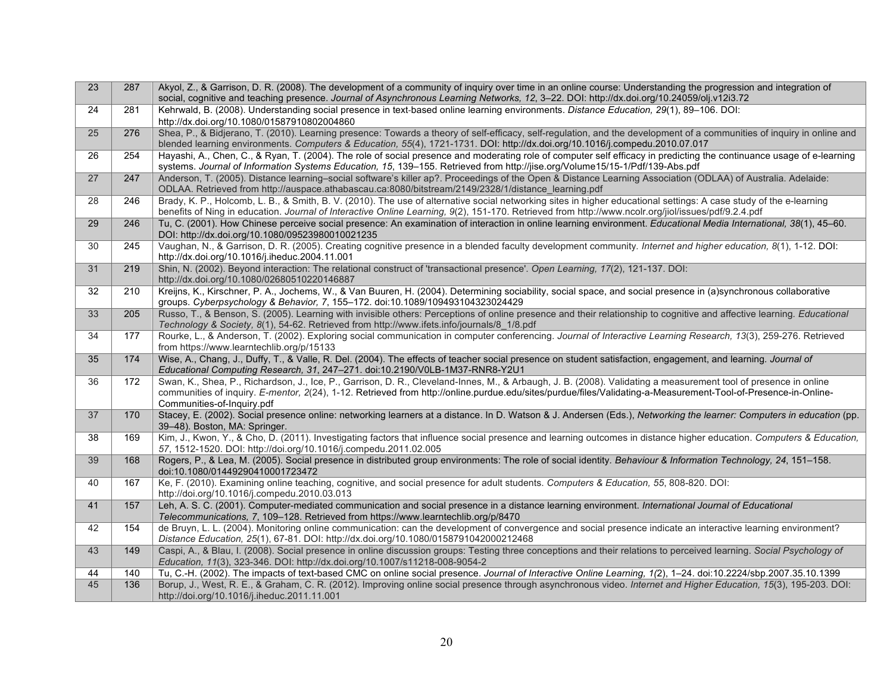| 23 | 287 | Akyol, Z., & Garrison, D. R. (2008). The development of a community of inquiry over time in an online course: Understanding the progression and integration of<br>social, cognitive and teaching presence. Journal of Asynchronous Learning Networks, 12, 3-22. DOI: http://dx.doi.org/10.24059/olj.v12i3.72                                                    |
|----|-----|-----------------------------------------------------------------------------------------------------------------------------------------------------------------------------------------------------------------------------------------------------------------------------------------------------------------------------------------------------------------|
| 24 | 281 | Kehrwald, B. (2008). Understanding social presence in text-based online learning environments. Distance Education, 29(1), 89-106. DOI:<br>http://dx.doi.org/10.1080/01587910802004860                                                                                                                                                                           |
| 25 | 276 | Shea, P., & Bidjerano, T. (2010). Learning presence: Towards a theory of self-efficacy, self-regulation, and the development of a communities of inquiry in online and<br>blended learning environments. Computers & Education, 55(4), 1721-1731. DOI: http://dx.doi.org/10.1016/j.compedu.2010.07.017                                                          |
| 26 | 254 | Hayashi, A., Chen, C., & Ryan, T. (2004). The role of social presence and moderating role of computer self efficacy in predicting the continuance usage of e-learning<br>systems. Journal of Information Systems Education, 15, 139-155. Retrieved from http://jise.org/Volume15/15-1/Pdf/139-Abs.pdf                                                           |
| 27 | 247 | Anderson, T. (2005). Distance learning-social software's killer ap?. Proceedings of the Open & Distance Learning Association (ODLAA) of Australia. Adelaide:<br>ODLAA. Retrieved from http://auspace.athabascau.ca:8080/bitstream/2149/2328/1/distance learning.pdf                                                                                             |
| 28 | 246 | Brady, K. P., Holcomb, L. B., & Smith, B. V. (2010). The use of alternative social networking sites in higher educational settings: A case study of the e-learning<br>benefits of Ning in education. Journal of Interactive Online Learning, 9(2), 151-170. Retrieved from http://www.ncolr.org/jiol/issues/pdf/9.2.4.pdf                                       |
| 29 | 246 | Tu, C. (2001). How Chinese perceive social presence: An examination of interaction in online learning environment. Educational Media International, 38(1), 45-60.<br>DOI: http://dx.doi.org/10.1080/09523980010021235                                                                                                                                           |
| 30 | 245 | Vaughan, N., & Garrison, D. R. (2005). Creating cognitive presence in a blended faculty development community. Internet and higher education, 8(1), 1-12. DOI:<br>http://dx.doi.org/10.1016/j.iheduc.2004.11.001                                                                                                                                                |
| 31 | 219 | Shin, N. (2002). Beyond interaction: The relational construct of 'transactional presence'. Open Learning, 17(2), 121-137. DOI:<br>http://dx.doi.org/10.1080/02680510220146887                                                                                                                                                                                   |
| 32 | 210 | Kreijns, K., Kirschner, P. A., Jochems, W., & Van Buuren, H. (2004). Determining sociability, social space, and social presence in (a)synchronous collaborative<br>groups. Cyberpsychology & Behavior, 7, 155-172. doi:10.1089/109493104323024429                                                                                                               |
| 33 | 205 | Russo, T., & Benson, S. (2005). Learning with invisible others: Perceptions of online presence and their relationship to cognitive and affective learning. Educational<br>Technology & Society, 8(1), 54-62. Retrieved from http://www.ifets.info/journals/8 1/8.pdf                                                                                            |
| 34 | 177 | Rourke, L., & Anderson, T. (2002). Exploring social communication in computer conferencing. Journal of Interactive Learning Research, 13(3), 259-276. Retrieved<br>from https://www.learntechlib.org/p/15133                                                                                                                                                    |
| 35 | 174 | Wise, A., Chang, J., Duffy, T., & Valle, R. Del. (2004). The effects of teacher social presence on student satisfaction, engagement, and learning. Journal of<br>Educational Computing Research, 31, 247-271. doi:10.2190/V0LB-1M37-RNR8-Y2U1                                                                                                                   |
| 36 | 172 | Swan, K., Shea, P., Richardson, J., Ice, P., Garrison, D. R., Cleveland-Innes, M., & Arbaugh, J. B. (2008). Validating a measurement tool of presence in online<br>communities of inquiry. E-mentor, 2(24), 1-12. Retrieved from http://online.purdue.edu/sites/purdue/files/Validating-a-Measurement-Tool-of-Presence-in-Online-<br>Communities-of-Inquiry.pdf |
| 37 | 170 | Stacey, E. (2002). Social presence online: networking learners at a distance. In D. Watson & J. Andersen (Eds.), Networking the learner: Computers in education (pp.<br>39-48). Boston, MA: Springer.                                                                                                                                                           |
| 38 | 169 | Kim, J., Kwon, Y., & Cho, D. (2011). Investigating factors that influence social presence and learning outcomes in distance higher education. Computers & Education,<br>57, 1512-1520. DOI: http://doi.org/10.1016/j.compedu.2011.02.005                                                                                                                        |
| 39 | 168 | Rogers, P., & Lea, M. (2005). Social presence in distributed group environments: The role of social identity. Behaviour & Information Technology, 24, 151-158.<br>doi:10.1080/01449290410001723472                                                                                                                                                              |
| 40 | 167 | Ke, F. (2010). Examining online teaching, cognitive, and social presence for adult students. Computers & Education, 55, 808-820. DOI:<br>http://doi.org/10.1016/j.compedu.2010.03.013                                                                                                                                                                           |
| 41 | 157 | Leh, A. S. C. (2001). Computer-mediated communication and social presence in a distance learning environment. International Journal of Educational<br>Telecommunications, 7, 109-128. Retrieved from https://www.learntechlib.org/p/8470                                                                                                                        |
| 42 | 154 | de Bruyn, L. L. (2004). Monitoring online communication: can the development of convergence and social presence indicate an interactive learning environment?<br>Distance Education, 25(1), 67-81. DOI: http://dx.doi.org/10.1080/0158791042000212468                                                                                                           |
| 43 | 149 | Caspi, A., & Blau, I. (2008). Social presence in online discussion groups: Testing three conceptions and their relations to perceived learning. Social Psychology of<br>Education, 11(3), 323-346. DOI: http://dx.doi.org/10.1007/s11218-008-9054-2                                                                                                             |
| 44 | 140 | Tu, C.-H. (2002). The impacts of text-based CMC on online social presence. Journal of Interactive Online Learning, 1(2), 1-24. doi:10.2224/sbp.2007.35.10.1399                                                                                                                                                                                                  |
| 45 | 136 | Borup, J., West, R. E., & Graham, C. R. (2012). Improving online social presence through asynchronous video. Internet and Higher Education, 15(3), 195-203. DOI:<br>http://doi.org/10.1016/j.iheduc.2011.11.001                                                                                                                                                 |